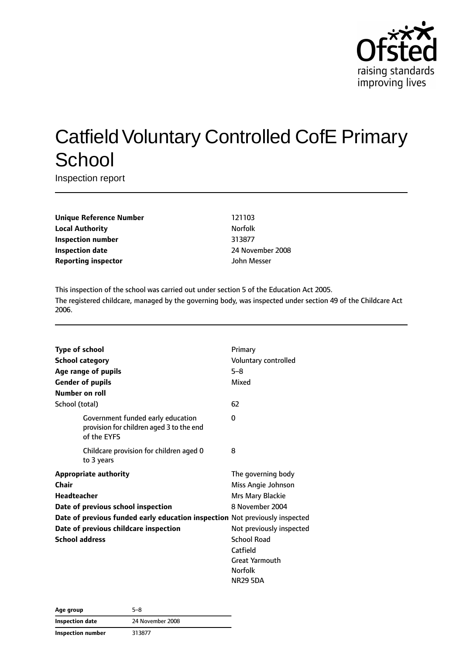

# Catfield Voluntary Controlled CofE Primary **School**

Inspection report

**Unique Reference Number** 121103 **Local Authority Norfolk Inspection number** 313877 **Inspection date** 2008 **Reporting inspector discription** John Messer

This inspection of the school was carried out under section 5 of the Education Act 2005. The registered childcare, managed by the governing body, was inspected under section 49 of the Childcare Act 2006.

| <b>Type of school</b>  |                                                                                              | Primary                  |
|------------------------|----------------------------------------------------------------------------------------------|--------------------------|
| <b>School category</b> |                                                                                              | Voluntary controlled     |
|                        | Age range of pupils                                                                          | $5 - 8$                  |
|                        | <b>Gender of pupils</b>                                                                      | Mixed                    |
| Number on roll         |                                                                                              |                          |
| School (total)         |                                                                                              | 62                       |
|                        | Government funded early education<br>provision for children aged 3 to the end<br>of the EYFS | 0                        |
|                        | Childcare provision for children aged 0<br>to 3 years                                        | 8                        |
|                        | <b>Appropriate authority</b>                                                                 | The governing body       |
| Chair                  |                                                                                              | Miss Angie Johnson       |
| <b>Headteacher</b>     |                                                                                              | Mrs Mary Blackie         |
|                        | Date of previous school inspection                                                           | 8 November 2004          |
|                        | Date of previous funded early education inspection Not previously inspected                  |                          |
|                        | Date of previous childcare inspection                                                        | Not previously inspected |
| <b>School address</b>  |                                                                                              | <b>School Road</b>       |
|                        |                                                                                              | Catfield                 |
|                        |                                                                                              | <b>Great Yarmouth</b>    |
|                        |                                                                                              | <b>Norfolk</b>           |
|                        |                                                                                              | <b>NR29 5DA</b>          |

| Age group         | 5–8              |
|-------------------|------------------|
| Inspection date   | 24 November 2008 |
| Inspection number | 313877           |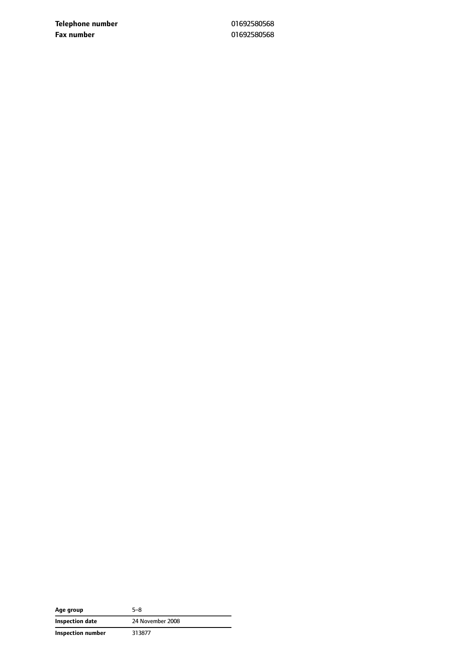**Telephone number** 01692580568 **Fax number** 01692580568

| Age group         | 5–8              |
|-------------------|------------------|
| Inspection date   | 24 November 2008 |
| Inspection number | 313877           |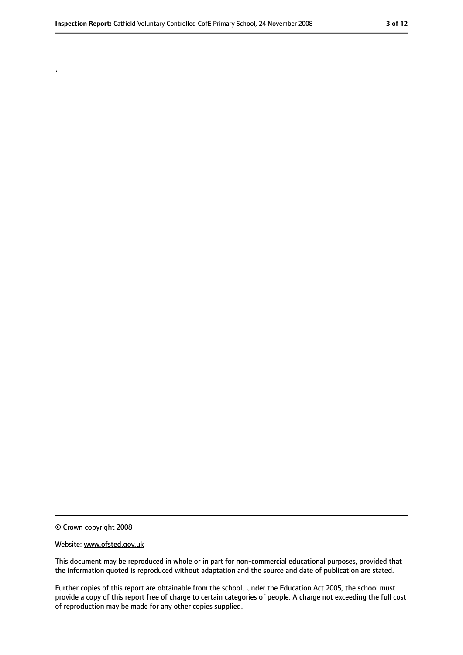.

<sup>©</sup> Crown copyright 2008

Website: www.ofsted.gov.uk

This document may be reproduced in whole or in part for non-commercial educational purposes, provided that the information quoted is reproduced without adaptation and the source and date of publication are stated.

Further copies of this report are obtainable from the school. Under the Education Act 2005, the school must provide a copy of this report free of charge to certain categories of people. A charge not exceeding the full cost of reproduction may be made for any other copies supplied.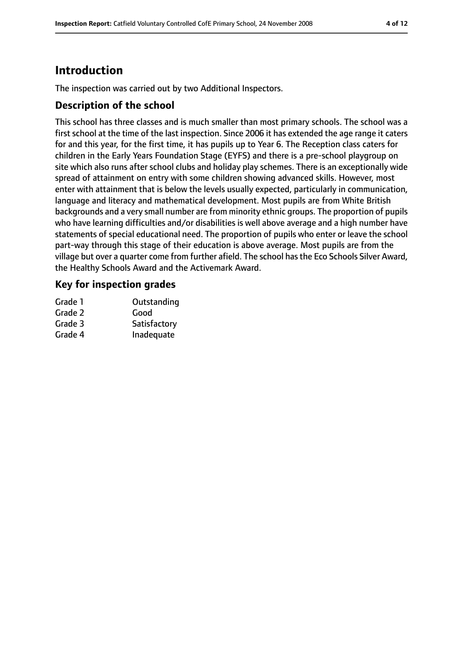# **Introduction**

The inspection was carried out by two Additional Inspectors.

## **Description of the school**

This school has three classes and is much smaller than most primary schools. The school was a first school at the time of the last inspection. Since 2006 it has extended the age range it caters for and this year, for the first time, it has pupils up to Year 6. The Reception class caters for children in the Early Years Foundation Stage (EYFS) and there is a pre-school playgroup on site which also runs after school clubs and holiday play schemes. There is an exceptionally wide spread of attainment on entry with some children showing advanced skills. However, most enter with attainment that is below the levels usually expected, particularly in communication, language and literacy and mathematical development. Most pupils are from White British backgrounds and a very small number are from minority ethnic groups. The proportion of pupils who have learning difficulties and/or disabilities is well above average and a high number have statements of special educational need. The proportion of pupils who enter or leave the school part-way through this stage of their education is above average. Most pupils are from the village but over a quarter come from further afield. The school hasthe Eco Schools Silver Award, the Healthy Schools Award and the Activemark Award.

## **Key for inspection grades**

| Grade 1 | Outstanding  |
|---------|--------------|
| Grade 2 | Good         |
| Grade 3 | Satisfactory |
| Grade 4 | Inadequate   |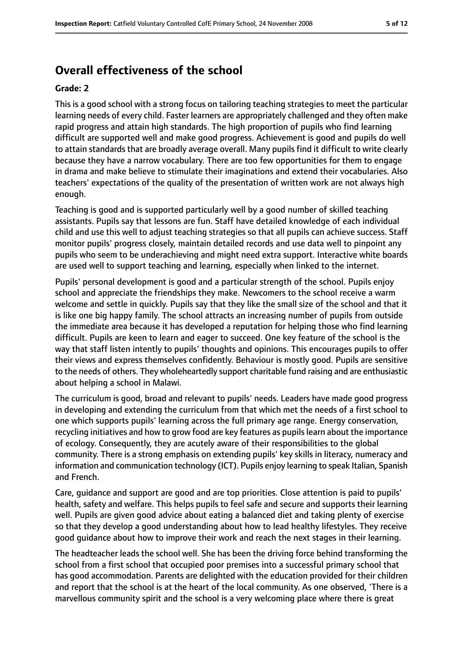# **Overall effectiveness of the school**

#### **Grade: 2**

This is a good school with a strong focus on tailoring teaching strategies to meet the particular learning needs of every child. Faster learners are appropriately challenged and they often make rapid progress and attain high standards. The high proportion of pupils who find learning difficult are supported well and make good progress. Achievement is good and pupils do well to attain standards that are broadly average overall. Many pupils find it difficult to write clearly because they have a narrow vocabulary. There are too few opportunities for them to engage in drama and make believe to stimulate their imaginations and extend their vocabularies. Also teachers' expectations of the quality of the presentation of written work are not always high enough.

Teaching is good and is supported particularly well by a good number of skilled teaching assistants. Pupils say that lessons are fun. Staff have detailed knowledge of each individual child and use this well to adjust teaching strategies so that all pupils can achieve success. Staff monitor pupils' progress closely, maintain detailed records and use data well to pinpoint any pupils who seem to be underachieving and might need extra support. Interactive white boards are used well to support teaching and learning, especially when linked to the internet.

Pupils' personal development is good and a particular strength of the school. Pupils enjoy school and appreciate the friendships they make. Newcomers to the school receive a warm welcome and settle in quickly. Pupils say that they like the small size of the school and that it is like one big happy family. The school attracts an increasing number of pupils from outside the immediate area because it has developed a reputation for helping those who find learning difficult. Pupils are keen to learn and eager to succeed. One key feature of the school is the way that staff listen intently to pupils' thoughts and opinions. This encourages pupils to offer their views and express themselves confidently. Behaviour is mostly good. Pupils are sensitive to the needs of others. They wholeheartedly support charitable fund raising and are enthusiastic about helping a school in Malawi.

The curriculum is good, broad and relevant to pupils' needs. Leaders have made good progress in developing and extending the curriculum from that which met the needs of a first school to one which supports pupils' learning across the full primary age range. Energy conservation, recycling initiatives and how to grow food are key features as pupils learn about the importance of ecology. Consequently, they are acutely aware of their responsibilities to the global community. There is a strong emphasis on extending pupils' key skills in literacy, numeracy and information and communication technology (ICT). Pupils enjoy learning to speak Italian, Spanish and French.

Care, guidance and support are good and are top priorities. Close attention is paid to pupils' health, safety and welfare. This helps pupils to feel safe and secure and supports their learning well. Pupils are given good advice about eating a balanced diet and taking plenty of exercise so that they develop a good understanding about how to lead healthy lifestyles. They receive good guidance about how to improve their work and reach the next stages in their learning.

The headteacher leads the school well. She has been the driving force behind transforming the school from a first school that occupied poor premises into a successful primary school that has good accommodation. Parents are delighted with the education provided for their children and report that the school is at the heart of the local community. As one observed, 'There is a marvellous community spirit and the school is a very welcoming place where there is great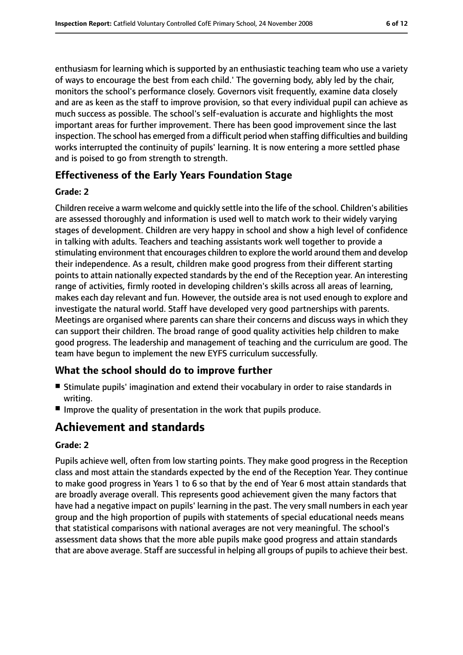enthusiasm for learning which is supported by an enthusiastic teaching team who use a variety of ways to encourage the best from each child.' The governing body, ably led by the chair, monitors the school's performance closely. Governors visit frequently, examine data closely and are as keen as the staff to improve provision, so that every individual pupil can achieve as much success as possible. The school's self-evaluation is accurate and highlights the most important areas for further improvement. There has been good improvement since the last inspection. The school has emerged from a difficult period when staffing difficulties and building works interrupted the continuity of pupils' learning. It is now entering a more settled phase and is poised to go from strength to strength.

## **Effectiveness of the Early Years Foundation Stage**

#### **Grade: 2**

Children receive a warm welcome and quickly settle into the life of the school. Children's abilities are assessed thoroughly and information is used well to match work to their widely varying stages of development. Children are very happy in school and show a high level of confidence in talking with adults. Teachers and teaching assistants work well together to provide a stimulating environment that encourages children to explore the world around them and develop their independence. As a result, children make good progress from their different starting points to attain nationally expected standards by the end of the Reception year. An interesting range of activities, firmly rooted in developing children's skills across all areas of learning, makes each day relevant and fun. However, the outside area is not used enough to explore and investigate the natural world. Staff have developed very good partnerships with parents. Meetings are organised where parents can share their concerns and discuss ways in which they can support their children. The broad range of good quality activities help children to make good progress. The leadership and management of teaching and the curriculum are good. The team have begun to implement the new EYFS curriculum successfully.

#### **What the school should do to improve further**

- Stimulate pupils' imagination and extend their vocabulary in order to raise standards in writing.
- Improve the quality of presentation in the work that pupils produce.

# **Achievement and standards**

#### **Grade: 2**

Pupils achieve well, often from low starting points. They make good progress in the Reception class and most attain the standards expected by the end of the Reception Year. They continue to make good progress in Years 1 to 6 so that by the end of Year 6 most attain standards that are broadly average overall. This represents good achievement given the many factors that have had a negative impact on pupils' learning in the past. The very small numbers in each year group and the high proportion of pupils with statements of special educational needs means that statistical comparisons with national averages are not very meaningful. The school's assessment data shows that the more able pupils make good progress and attain standards that are above average. Staff are successful in helping all groups of pupils to achieve their best.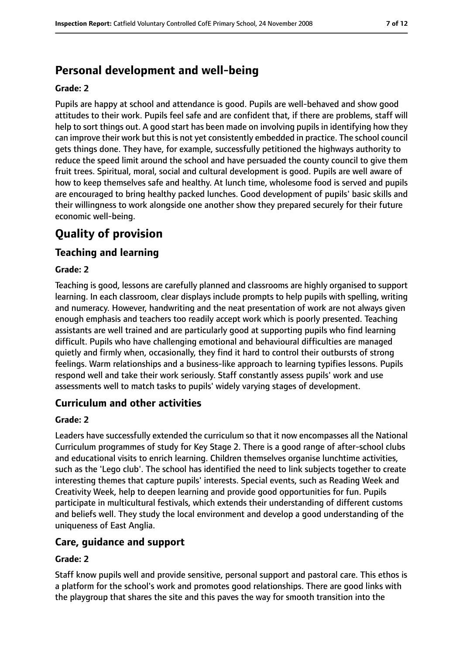# **Personal development and well-being**

#### **Grade: 2**

Pupils are happy at school and attendance is good. Pupils are well-behaved and show good attitudes to their work. Pupils feel safe and are confident that, if there are problems, staff will help to sort things out. A good start has been made on involving pupils in identifying how they can improve their work but this is not yet consistently embedded in practice. The school council gets things done. They have, for example, successfully petitioned the highways authority to reduce the speed limit around the school and have persuaded the county council to give them fruit trees. Spiritual, moral, social and cultural development is good. Pupils are well aware of how to keep themselves safe and healthy. At lunch time, wholesome food is served and pupils are encouraged to bring healthy packed lunches. Good development of pupils' basic skills and their willingness to work alongside one another show they prepared securely for their future economic well-being.

# **Quality of provision**

## **Teaching and learning**

#### **Grade: 2**

Teaching is good, lessons are carefully planned and classrooms are highly organised to support learning. In each classroom, clear displays include prompts to help pupils with spelling, writing and numeracy. However, handwriting and the neat presentation of work are not always given enough emphasis and teachers too readily accept work which is poorly presented. Teaching assistants are well trained and are particularly good at supporting pupils who find learning difficult. Pupils who have challenging emotional and behavioural difficulties are managed quietly and firmly when, occasionally, they find it hard to control their outbursts of strong feelings. Warm relationships and a business-like approach to learning typifies lessons. Pupils respond well and take their work seriously. Staff constantly assess pupils' work and use assessments well to match tasks to pupils' widely varying stages of development.

#### **Curriculum and other activities**

#### **Grade: 2**

Leaders have successfully extended the curriculum so that it now encompasses all the National Curriculum programmes of study for Key Stage 2. There is a good range of after-school clubs and educational visits to enrich learning. Children themselves organise lunchtime activities, such as the 'Lego club'. The school has identified the need to link subjects together to create interesting themes that capture pupils' interests. Special events, such as Reading Week and Creativity Week, help to deepen learning and provide good opportunities for fun. Pupils participate in multicultural festivals, which extends their understanding of different customs and beliefs well. They study the local environment and develop a good understanding of the uniqueness of East Anglia.

#### **Care, guidance and support**

#### **Grade: 2**

Staff know pupils well and provide sensitive, personal support and pastoral care. This ethos is a platform for the school's work and promotes good relationships. There are good links with the playgroup that shares the site and this paves the way for smooth transition into the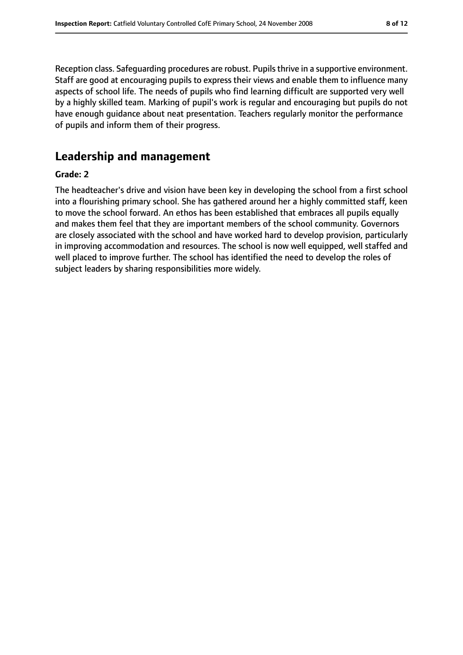Reception class. Safeguarding procedures are robust. Pupils thrive in a supportive environment. Staff are good at encouraging pupils to express their views and enable them to influence many aspects of school life. The needs of pupils who find learning difficult are supported very well by a highly skilled team. Marking of pupil's work is regular and encouraging but pupils do not have enough guidance about neat presentation. Teachers regularly monitor the performance of pupils and inform them of their progress.

# **Leadership and management**

#### **Grade: 2**

The headteacher's drive and vision have been key in developing the school from a first school into a flourishing primary school. She has gathered around her a highly committed staff, keen to move the school forward. An ethos has been established that embraces all pupils equally and makes them feel that they are important members of the school community. Governors are closely associated with the school and have worked hard to develop provision, particularly in improving accommodation and resources. The school is now well equipped, well staffed and well placed to improve further. The school has identified the need to develop the roles of subject leaders by sharing responsibilities more widely.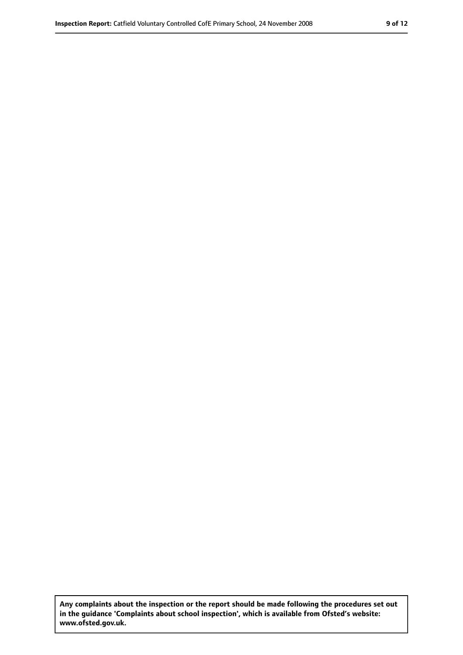**Any complaints about the inspection or the report should be made following the procedures set out in the guidance 'Complaints about school inspection', which is available from Ofsted's website: www.ofsted.gov.uk.**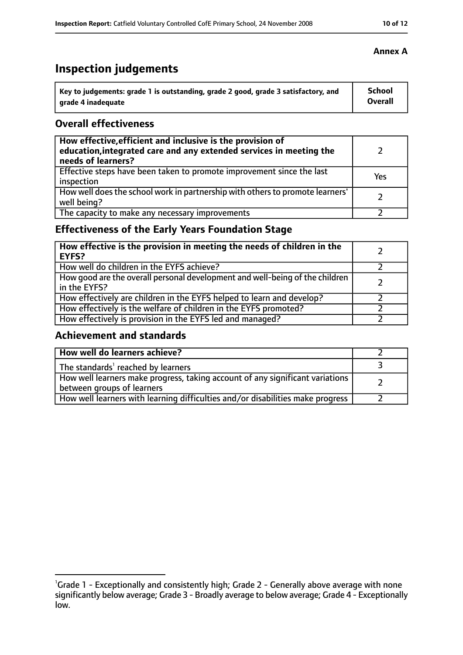# **Inspection judgements**

| \ Key to judgements: grade 1 is outstanding, grade 2 good, grade 3 satisfactory, and | <b>School</b>  |
|--------------------------------------------------------------------------------------|----------------|
| arade 4 inadequate                                                                   | <b>Overall</b> |

## **Overall effectiveness**

| How effective, efficient and inclusive is the provision of<br>education, integrated care and any extended services in meeting the<br>needs of learners? |     |
|---------------------------------------------------------------------------------------------------------------------------------------------------------|-----|
| Effective steps have been taken to promote improvement since the last<br>inspection                                                                     | Yes |
| How well does the school work in partnership with others to promote learners'<br>well being?                                                            |     |
| The capacity to make any necessary improvements                                                                                                         |     |

## **Effectiveness of the Early Years Foundation Stage**

| How effective is the provision in meeting the needs of children in the<br><b>EYFS?</b>       |  |
|----------------------------------------------------------------------------------------------|--|
| How well do children in the EYFS achieve?                                                    |  |
| How good are the overall personal development and well-being of the children<br>in the EYFS? |  |
| How effectively are children in the EYFS helped to learn and develop?                        |  |
| How effectively is the welfare of children in the EYFS promoted?                             |  |
| How effectively is provision in the EYFS led and managed?                                    |  |

## **Achievement and standards**

| How well do learners achieve?                                                                               |  |
|-------------------------------------------------------------------------------------------------------------|--|
| The standards <sup>1</sup> reached by learners                                                              |  |
| How well learners make progress, taking account of any significant variations<br>between groups of learners |  |
| How well learners with learning difficulties and/or disabilities make progress                              |  |

### **Annex A**

<sup>&</sup>lt;sup>1</sup>Grade 1 - Exceptionally and consistently high; Grade 2 - Generally above average with none significantly below average; Grade 3 - Broadly average to below average; Grade 4 - Exceptionally low.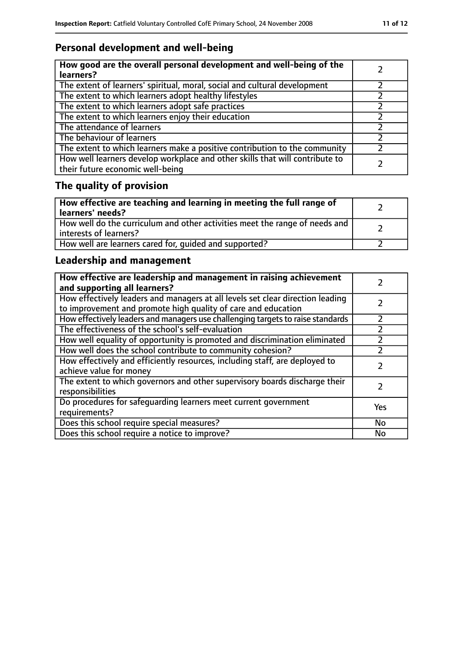# **Personal development and well-being**

| How good are the overall personal development and well-being of the<br>learners?                                 |  |
|------------------------------------------------------------------------------------------------------------------|--|
| The extent of learners' spiritual, moral, social and cultural development                                        |  |
| The extent to which learners adopt healthy lifestyles                                                            |  |
| The extent to which learners adopt safe practices                                                                |  |
| The extent to which learners enjoy their education                                                               |  |
| The attendance of learners                                                                                       |  |
| The behaviour of learners                                                                                        |  |
| The extent to which learners make a positive contribution to the community                                       |  |
| How well learners develop workplace and other skills that will contribute to<br>their future economic well-being |  |

# **The quality of provision**

| How effective are teaching and learning in meeting the full range of<br>learners' needs?              |  |
|-------------------------------------------------------------------------------------------------------|--|
| How well do the curriculum and other activities meet the range of needs and<br>interests of learners? |  |
| How well are learners cared for, quided and supported?                                                |  |

# **Leadership and management**

| How effective are leadership and management in raising achievement<br>and supporting all learners?                                              |     |
|-------------------------------------------------------------------------------------------------------------------------------------------------|-----|
| How effectively leaders and managers at all levels set clear direction leading<br>to improvement and promote high quality of care and education |     |
| How effectively leaders and managers use challenging targets to raise standards                                                                 |     |
| The effectiveness of the school's self-evaluation                                                                                               |     |
| How well equality of opportunity is promoted and discrimination eliminated                                                                      |     |
| How well does the school contribute to community cohesion?                                                                                      |     |
| How effectively and efficiently resources, including staff, are deployed to<br>achieve value for money                                          |     |
| The extent to which governors and other supervisory boards discharge their<br>responsibilities                                                  |     |
| Do procedures for safequarding learners meet current government<br>requirements?                                                                | Yes |
| Does this school require special measures?                                                                                                      | No  |
| Does this school require a notice to improve?                                                                                                   | No  |